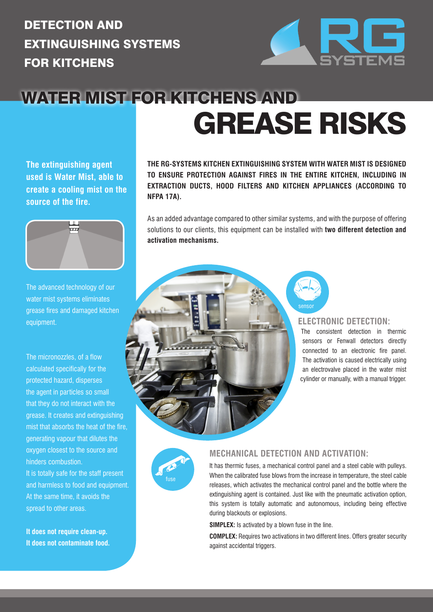### DETECTION AND EXTINGUISHING SYSTEMS FOR KITCHENS



## WATER MIST FOR KITCHENS AND GREASE RISKS

**The extinguishing agent used is Water Mist, able to create a cooling mist on the source of the fire.**



The advanced technology of our water mist systems eliminates grease fires and damaged kitchen equipment.

The micronozzles, of a flow calculated specifically for the protected hazard, disperses the agent in particles so small that they do not interact with the grease. It creates and extinguishing mist that absorbs the heat of the fire, generating vapour that dilutes the oxygen closest to the source and hinders combustion.

It is totally safe for the staff present and harmless to food and equipment. At the same time, it avoids the spread to other areas.

**It does not require clean-up. It does not contaminate food.** **THE RG-SYSTEMS KITCHEN EXTINGUISHING SYSTEM WITH WATER MIST IS DESIGNED TO ENSURE PROTECTION AGAINST FIRES IN THE ENTIRE KITCHEN, INCLUDING IN EXTRACTION DUCTS, HOOD FILTERS AND KITCHEN APPLIANCES (ACCORDING TO NFPA 17A).** 

As an added advantage compared to other similar systems, and with the purpose of offering solutions to our clients, this equipment can be installed with **two different detection and activation mechanisms.**

#### **ELECTRONIC DETECTION:**

The consistent detection in thermic sensors or Fenwall detectors directly connected to an electronic fire panel. The activation is caused electrically using an electrovalve placed in the water mist cylinder or manually, with a manual trigger.



#### **MECHANICAL DETECTION AND ACTIVATION:**

It has thermic fuses, a mechanical control panel and a steel cable with pulleys. When the calibrated fuse blows from the increase in temperature, the steel cable releases, which activates the mechanical control panel and the bottle where the extinguishing agent is contained. Just like with the pneumatic activation option, this system is totally automatic and autonomous, including being effective during blackouts or explosions.

**SIMPLEX:** Is activated by a blown fuse in the line.

**COMPLEX:** Requires two activations in two different lines. Offers greater security against accidental triggers.